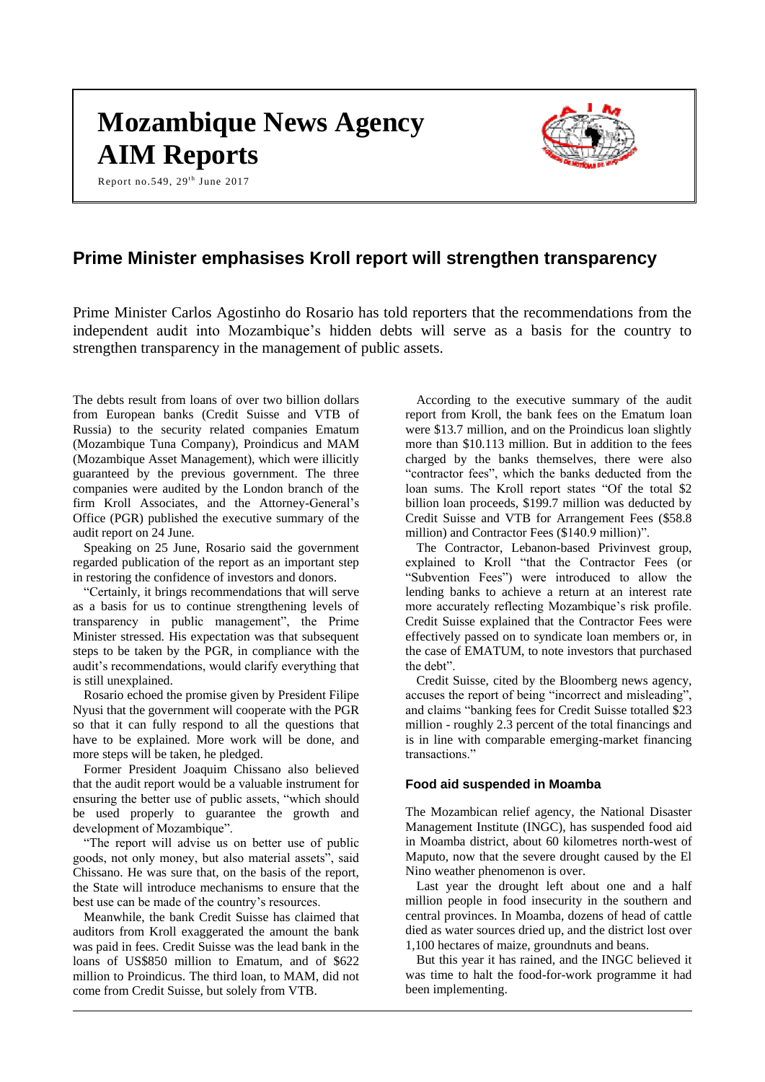# **Mozambique News Agency AIM Reports**

Report no.549,  $29<sup>th</sup>$  June 2017



# **Prime Minister emphasises Kroll report will strengthen transparency**

Prime Minister Carlos Agostinho do Rosario has told reporters that the recommendations from the independent audit into Mozambique's hidden debts will serve as a basis for the country to strengthen transparency in the management of public assets.

The debts result from loans of over two billion dollars from European banks (Credit Suisse and VTB of Russia) to the security related companies Ematum (Mozambique Tuna Company), Proindicus and MAM (Mozambique Asset Management), which were illicitly guaranteed by the previous government. The three companies were audited by the London branch of the firm Kroll Associates, and the Attorney-General's Office (PGR) published the executive summary of the audit report on 24 June.

Speaking on 25 June, Rosario said the government regarded publication of the report as an important step in restoring the confidence of investors and donors.

"Certainly, it brings recommendations that will serve as a basis for us to continue strengthening levels of transparency in public management", the Prime Minister stressed. His expectation was that subsequent steps to be taken by the PGR, in compliance with the audit's recommendations, would clarify everything that is still unexplained.

Rosario echoed the promise given by President Filipe Nyusi that the government will cooperate with the PGR so that it can fully respond to all the questions that have to be explained. More work will be done, and more steps will be taken, he pledged.

Former President Joaquim Chissano also believed that the audit report would be a valuable instrument for ensuring the better use of public assets, "which should be used properly to guarantee the growth and development of Mozambique".

"The report will advise us on better use of public goods, not only money, but also material assets", said Chissano. He was sure that, on the basis of the report, the State will introduce mechanisms to ensure that the best use can be made of the country's resources.

Meanwhile, the bank Credit Suisse has claimed that auditors from Kroll exaggerated the amount the bank was paid in fees. Credit Suisse was the lead bank in the loans of US\$850 million to Ematum, and of \$622 million to Proindicus. The third loan, to MAM, did not come from Credit Suisse, but solely from VTB.

According to the executive summary of the audit report from Kroll, the bank fees on the Ematum loan were \$13.7 million, and on the Proindicus loan slightly more than \$10.113 million. But in addition to the fees charged by the banks themselves, there were also "contractor fees", which the banks deducted from the loan sums. The Kroll report states "Of the total \$2 billion loan proceeds, \$199.7 million was deducted by Credit Suisse and VTB for Arrangement Fees (\$58.8 million) and Contractor Fees (\$140.9 million)".

The Contractor, Lebanon-based Privinvest group, explained to Kroll "that the Contractor Fees (or "Subvention Fees") were introduced to allow the lending banks to achieve a return at an interest rate more accurately reflecting Mozambique's risk profile. Credit Suisse explained that the Contractor Fees were effectively passed on to syndicate loan members or, in the case of EMATUM, to note investors that purchased the debt".

Credit Suisse, cited by the Bloomberg news agency, accuses the report of being "incorrect and misleading", and claims "banking fees for Credit Suisse totalled \$23 million - roughly 2.3 percent of the total financings and is in line with comparable emerging-market financing transactions."

#### **Food aid suspended in Moamba**

The Mozambican relief agency, the National Disaster Management Institute (INGC), has suspended food aid in Moamba district, about 60 kilometres north-west of Maputo, now that the severe drought caused by the El Nino weather phenomenon is over.

Last year the drought left about one and a half million people in food insecurity in the southern and central provinces. In Moamba, dozens of head of cattle died as water sources dried up, and the district lost over 1,100 hectares of maize, groundnuts and beans.

But this year it has rained, and the INGC believed it was time to halt the food-for-work programme it had been implementing.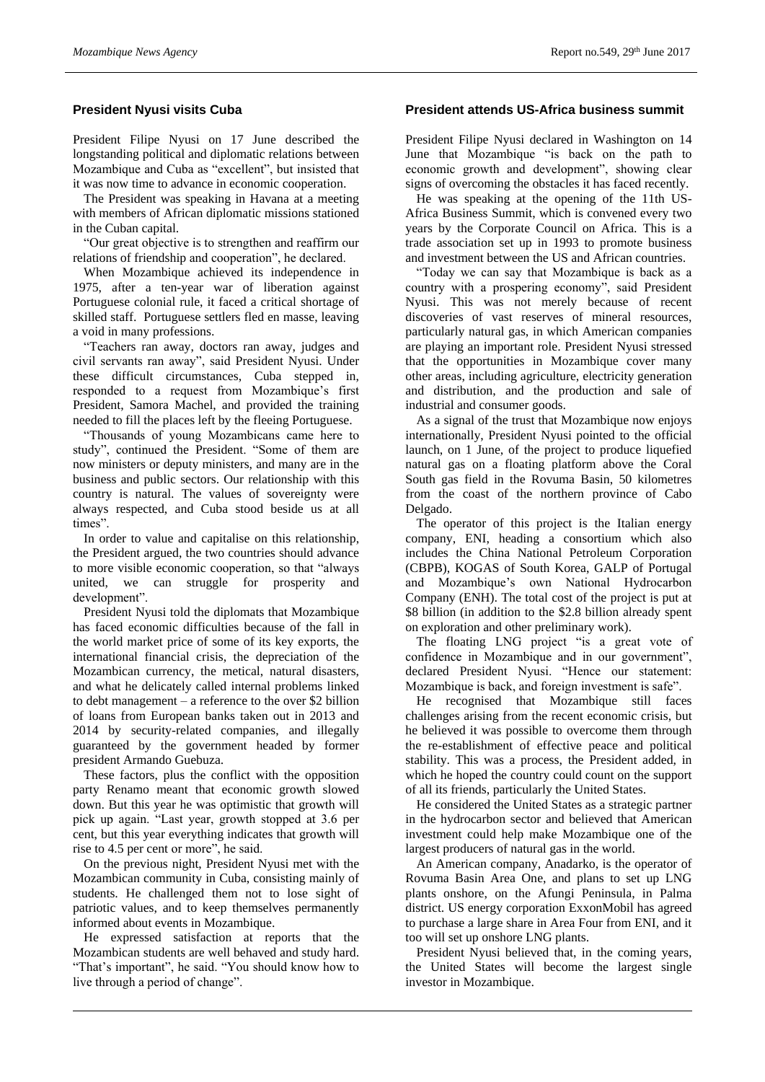# **President Nyusi visits Cuba**

President Filipe Nyusi on 17 June described the longstanding political and diplomatic relations between Mozambique and Cuba as "excellent", but insisted that it was now time to advance in economic cooperation.

The President was speaking in Havana at a meeting with members of African diplomatic missions stationed in the Cuban capital.

"Our great objective is to strengthen and reaffirm our relations of friendship and cooperation", he declared.

When Mozambique achieved its independence in 1975, after a ten-year war of liberation against Portuguese colonial rule, it faced a critical shortage of skilled staff. Portuguese settlers fled en masse, leaving a void in many professions.

"Teachers ran away, doctors ran away, judges and civil servants ran away", said President Nyusi. Under these difficult circumstances, Cuba stepped in, responded to a request from Mozambique's first President, Samora Machel, and provided the training needed to fill the places left by the fleeing Portuguese.

"Thousands of young Mozambicans came here to study", continued the President. "Some of them are now ministers or deputy ministers, and many are in the business and public sectors. Our relationship with this country is natural. The values of sovereignty were always respected, and Cuba stood beside us at all times".

In order to value and capitalise on this relationship, the President argued, the two countries should advance to more visible economic cooperation, so that "always united, we can struggle for prosperity and development".

President Nyusi told the diplomats that Mozambique has faced economic difficulties because of the fall in the world market price of some of its key exports, the international financial crisis, the depreciation of the Mozambican currency, the metical, natural disasters, and what he delicately called internal problems linked to debt management – a reference to the over \$2 billion of loans from European banks taken out in 2013 and 2014 by security-related companies, and illegally guaranteed by the government headed by former president Armando Guebuza.

These factors, plus the conflict with the opposition party Renamo meant that economic growth slowed down. But this year he was optimistic that growth will pick up again. "Last year, growth stopped at 3.6 per cent, but this year everything indicates that growth will rise to 4.5 per cent or more", he said.

On the previous night, President Nyusi met with the Mozambican community in Cuba, consisting mainly of students. He challenged them not to lose sight of patriotic values, and to keep themselves permanently informed about events in Mozambique.

He expressed satisfaction at reports that the Mozambican students are well behaved and study hard. "That's important", he said. "You should know how to live through a period of change".

#### **President attends US-Africa business summit**

President Filipe Nyusi declared in Washington on 14 June that Mozambique "is back on the path to economic growth and development", showing clear signs of overcoming the obstacles it has faced recently.

He was speaking at the opening of the 11th US-Africa Business Summit, which is convened every two years by the Corporate Council on Africa. This is a trade association set up in 1993 to promote business and investment between the US and African countries.

"Today we can say that Mozambique is back as a country with a prospering economy", said President Nyusi. This was not merely because of recent discoveries of vast reserves of mineral resources, particularly natural gas, in which American companies are playing an important role. President Nyusi stressed that the opportunities in Mozambique cover many other areas, including agriculture, electricity generation and distribution, and the production and sale of industrial and consumer goods.

As a signal of the trust that Mozambique now enjoys internationally, President Nyusi pointed to the official launch, on 1 June, of the project to produce liquefied natural gas on a floating platform above the Coral South gas field in the Rovuma Basin, 50 kilometres from the coast of the northern province of Cabo Delgado.

The operator of this project is the Italian energy company, ENI, heading a consortium which also includes the China National Petroleum Corporation (CBPB), KOGAS of South Korea, GALP of Portugal and Mozambique's own National Hydrocarbon Company (ENH). The total cost of the project is put at \$8 billion (in addition to the \$2.8 billion already spent on exploration and other preliminary work).

The floating LNG project "is a great vote of confidence in Mozambique and in our government", declared President Nyusi. "Hence our statement: Mozambique is back, and foreign investment is safe".

He recognised that Mozambique still faces challenges arising from the recent economic crisis, but he believed it was possible to overcome them through the re-establishment of effective peace and political stability. This was a process, the President added, in which he hoped the country could count on the support of all its friends, particularly the United States.

He considered the United States as a strategic partner in the hydrocarbon sector and believed that American investment could help make Mozambique one of the largest producers of natural gas in the world.

An American company, Anadarko, is the operator of Rovuma Basin Area One, and plans to set up LNG plants onshore, on the Afungi Peninsula, in Palma district. US energy corporation ExxonMobil has agreed to purchase a large share in Area Four from ENI, and it too will set up onshore LNG plants.

President Nyusi believed that, in the coming years, the United States will become the largest single investor in Mozambique.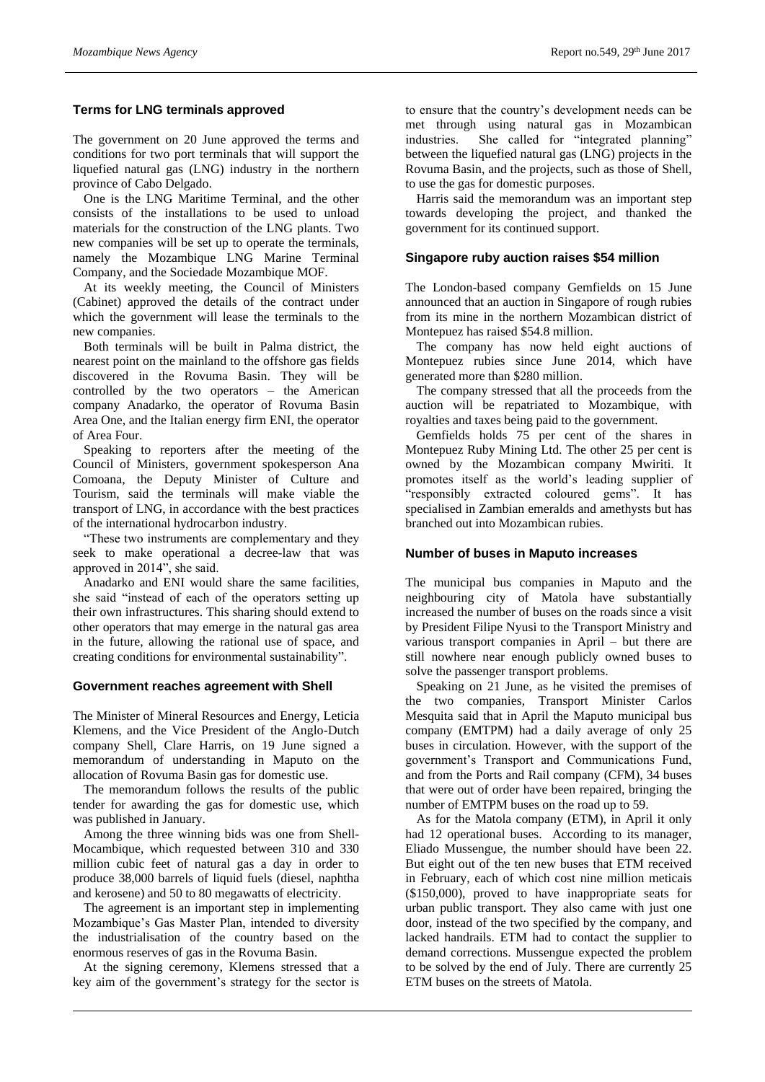# **Terms for LNG terminals approved**

The government on 20 June approved the terms and conditions for two port terminals that will support the liquefied natural gas (LNG) industry in the northern province of Cabo Delgado.

One is the LNG Maritime Terminal, and the other consists of the installations to be used to unload materials for the construction of the LNG plants. Two new companies will be set up to operate the terminals, namely the Mozambique LNG Marine Terminal Company, and the Sociedade Mozambique MOF.

At its weekly meeting, the Council of Ministers (Cabinet) approved the details of the contract under which the government will lease the terminals to the new companies.

Both terminals will be built in Palma district, the nearest point on the mainland to the offshore gas fields discovered in the Rovuma Basin. They will be controlled by the two operators – the American company Anadarko, the operator of Rovuma Basin Area One, and the Italian energy firm ENI, the operator of Area Four.

Speaking to reporters after the meeting of the Council of Ministers, government spokesperson Ana Comoana, the Deputy Minister of Culture and Tourism, said the terminals will make viable the transport of LNG, in accordance with the best practices of the international hydrocarbon industry.

"These two instruments are complementary and they seek to make operational a decree-law that was approved in 2014", she said.

Anadarko and ENI would share the same facilities, she said "instead of each of the operators setting up their own infrastructures. This sharing should extend to other operators that may emerge in the natural gas area in the future, allowing the rational use of space, and creating conditions for environmental sustainability".

# **Government reaches agreement with Shell**

The Minister of Mineral Resources and Energy, Leticia Klemens, and the Vice President of the Anglo-Dutch company Shell, Clare Harris, on 19 June signed a memorandum of understanding in Maputo on the allocation of Rovuma Basin gas for domestic use.

The memorandum follows the results of the public tender for awarding the gas for domestic use, which was published in January.

Among the three winning bids was one from Shell-Mocambique, which requested between 310 and 330 million cubic feet of natural gas a day in order to produce 38,000 barrels of liquid fuels (diesel, naphtha and kerosene) and 50 to 80 megawatts of electricity.

The agreement is an important step in implementing Mozambique's Gas Master Plan, intended to diversity the industrialisation of the country based on the enormous reserves of gas in the Rovuma Basin.

At the signing ceremony, Klemens stressed that a key aim of the government's strategy for the sector is to ensure that the country's development needs can be met through using natural gas in Mozambican industries. She called for "integrated planning" between the liquefied natural gas (LNG) projects in the Rovuma Basin, and the projects, such as those of Shell, to use the gas for domestic purposes.

Harris said the memorandum was an important step towards developing the project, and thanked the government for its continued support.

# **Singapore ruby auction raises \$54 million**

The London-based company Gemfields on 15 June announced that an auction in Singapore of rough rubies from its mine in the northern Mozambican district of Montepuez has raised \$54.8 million.

The company has now held eight auctions of Montepuez rubies since June 2014, which have generated more than \$280 million.

The company stressed that all the proceeds from the auction will be repatriated to Mozambique, with royalties and taxes being paid to the government.

Gemfields holds 75 per cent of the shares in Montepuez Ruby Mining Ltd. The other 25 per cent is owned by the Mozambican company Mwiriti. It promotes itself as the world's leading supplier of "responsibly extracted coloured gems". It has specialised in Zambian emeralds and amethysts but has branched out into Mozambican rubies.

# **Number of buses in Maputo increases**

The municipal bus companies in Maputo and the neighbouring city of Matola have substantially increased the number of buses on the roads since a visit by President Filipe Nyusi to the Transport Ministry and various transport companies in April – but there are still nowhere near enough publicly owned buses to solve the passenger transport problems.

Speaking on 21 June, as he visited the premises of the two companies, Transport Minister Carlos Mesquita said that in April the Maputo municipal bus company (EMTPM) had a daily average of only 25 buses in circulation. However, with the support of the government's Transport and Communications Fund, and from the Ports and Rail company (CFM), 34 buses that were out of order have been repaired, bringing the number of EMTPM buses on the road up to 59.

As for the Matola company (ETM), in April it only had 12 operational buses. According to its manager, Eliado Mussengue, the number should have been 22. But eight out of the ten new buses that ETM received in February, each of which cost nine million meticais (\$150,000), proved to have inappropriate seats for urban public transport. They also came with just one door, instead of the two specified by the company, and lacked handrails. ETM had to contact the supplier to demand corrections. Mussengue expected the problem to be solved by the end of July. There are currently 25 ETM buses on the streets of Matola.